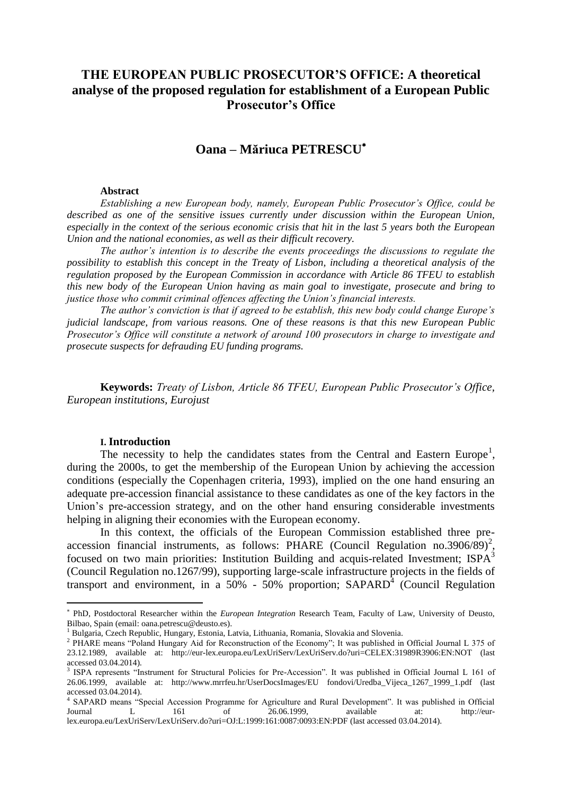# **THE EUROPEAN PUBLIC PROSECUTOR'S OFFICE: A theoretical analyse of the proposed regulation for establishment of a European Public Prosecutor's Office**

# **Oana – Măriuca PETRESCU**

### **Abstract**

*Establishing a new European body, namely, European Public Prosecutor's Office, could be described as one of the sensitive issues currently under discussion within the European Union, especially in the context of the serious economic crisis that hit in the last 5 years both the European Union and the national economies, as well as their difficult recovery.*

*The author's intention is to describe the events proceedings the discussions to regulate the possibility to establish this concept in the Treaty of Lisbon, including a theoretical analysis of the regulation proposed by the European Commission in accordance with Article 86 TFEU to establish this new body of the European Union having as main goal to investigate, prosecute and bring to justice those who commit criminal offences affecting the Union's financial interests.*

*The author's conviction is that if agreed to be establish, this new body could change Europe's judicial landscape, from various reasons. One of these reasons is that this new European Public Prosecutor's Office will constitute a network of around 100 prosecutors in charge to investigate and prosecute suspects for defrauding EU funding programs.*

**Keywords:** *Treaty of Lisbon, Article 86 TFEU, European Public Prosecutor's Office, European institutions, Eurojust*

### **I. Introduction**

 $\overline{a}$ 

The necessity to help the candidates states from the Central and Eastern Europe<sup>1</sup>, during the 2000s, to get the membership of the European Union by achieving the accession conditions (especially the Copenhagen criteria, 1993), implied on the one hand ensuring an adequate pre-accession financial assistance to these candidates as one of the key factors in the Union's pre-accession strategy, and on the other hand ensuring considerable investments helping in aligning their economies with the European economy.

In this context, the officials of the European Commission established three preaccession financial instruments, as follows: PHARE (Council Regulation no.3906/89)<sup>2</sup>, focused on two main priorities: Institution Building and acquis-related Investment; ISPA<sup>3</sup> (Council Regulation no.1267/99), supporting large-scale infrastructure projects in the fields of transport and environment, in a  $50\%$  -  $50\%$  proportion; SAPARD<sup>4</sup> (Council Regulation

PhD, Postdoctoral Researcher within the *European Integration* Research Team, Faculty of Law, University of Deusto, Bilbao, Spain (email: oana.petrescu@deusto.es).

<sup>&</sup>lt;sup>1</sup> Bulgaria, Czech Republic, Hungary, Estonia, Latvia, Lithuania, Romania, Slovakia and Slovenia.

<sup>&</sup>lt;sup>2</sup> PHARE means "Poland Hungary Aid for Reconstruction of the Economy"; It was published in Official Journal L 375 of 23.12.1989, available at: http://eur-lex.europa.eu/LexUriServ/LexUriServ.do?uri=CELEX:31989R3906:EN:NOT (last accessed 03.04.2014).

<sup>3</sup> ISPA represents "Instrument for Structural Policies for Pre-Accession". It was published in Official Journal L 161 of 26.06.1999, available at: http://www.mrrfeu.hr/UserDocsImages/EU fondovi/Uredba\_Vijeca\_1267\_1999\_1.pdf (last accessed 03.04.2014).

<sup>4</sup> SAPARD means "Special Accession Programme for Agriculture and Rural Development". It was published in Official Journal L 161 of 26.06.1999, available at: http://eurlex.europa.eu/LexUriServ/LexUriServ.do?uri=OJ:L:1999:161:0087:0093:EN:PDF (last accessed 03.04.2014).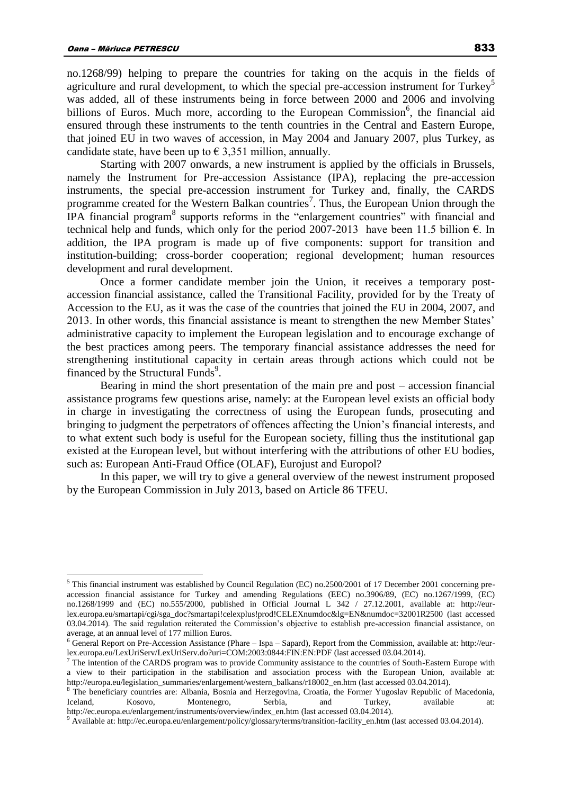$\overline{a}$ 

no.1268/99) helping to prepare the countries for taking on the acquis in the fields of agriculture and rural development, to which the special pre-accession instrument for Turkey<sup>5</sup> was added, all of these instruments being in force between 2000 and 2006 and involving billions of Euros. Much more, according to the European Commission<sup>6</sup>, the financial aid ensured through these instruments to the tenth countries in the Central and Eastern Europe, that joined EU in two waves of accession, in May 2004 and January 2007, plus Turkey, as candidate state, have been up to  $\epsilon$  3,351 million, annually.

Starting with 2007 onwards, a new instrument is applied by the officials in Brussels, namely the Instrument for Pre-accession Assistance (IPA), replacing the pre-accession instruments, the special pre-accession instrument for Turkey and, finally, the CARDS programme created for the Western Balkan countries<sup>7</sup>. Thus, the European Union through the IPA financial program<sup>8</sup> supports reforms in the "enlargement countries" with financial and technical help and funds, which only for the period 2007-2013 have been 11.5 billion  $\epsilon$ . In addition, the IPA program is made up of five components: support for transition and institution-building; cross-border cooperation; regional development; human resources development and rural development.

Once a former candidate member join the Union, it receives a temporary postaccession financial assistance, called the Transitional Facility, provided for by the Treaty of Accession to the EU, as it was the case of the countries that joined the EU in 2004, 2007, and 2013. In other words, this financial assistance is meant to strengthen the new Member States' administrative capacity to implement the European legislation and to encourage exchange of the best practices among peers. The temporary financial assistance addresses the need for strengthening institutional capacity in certain areas through actions which could not be financed by the Structural Funds<sup>9</sup>.

Bearing in mind the short presentation of the main pre and post – accession financial assistance programs few questions arise, namely: at the European level exists an official body in charge in investigating the correctness of using the European funds, prosecuting and bringing to judgment the perpetrators of offences affecting the Union's financial interests, and to what extent such body is useful for the European society, filling thus the institutional gap existed at the European level, but without interfering with the attributions of other EU bodies, such as: European Anti-Fraud Office (OLAF), Eurojust and Europol?

In this paper, we will try to give a general overview of the newest instrument proposed by the European Commission in July 2013, based on Article 86 TFEU.

<sup>&</sup>lt;sup>5</sup> This financial instrument was established by Council Regulation (EC) no.2500/2001 of 17 December 2001 concerning preaccession financial assistance for Turkey and amending Regulations (EEC) no.3906/89, (EC) no.1267/1999, (EC) no.1268/1999 and (EC) no.555/2000, published in Official Journal L 342 / 27.12.2001, available at: http://eurlex.europa.eu/smartapi/cgi/sga\_doc?smartapi!celexplus!prod!CELEXnumdoc&lg=EN&numdoc=32001R2500 (last accessed 03.04.2014). The said regulation reiterated the Commission's objective to establish pre-accession financial assistance, on average, at an annual level of 177 million Euros.

<sup>6</sup> General Report on Pre-Accession Assistance (Phare – Ispa – Sapard), Report from the Commission, available at: http://eurlex.europa.eu/LexUriServ/LexUriServ.do?uri=COM:2003:0844:FIN:EN:PDF (last accessed 03.04.2014).

 $7$  The intention of the CARDS program was to provide Community assistance to the countries of South-Eastern Europe with a view to their participation in the stabilisation and association process with the European Union, available at: http://europa.eu/legislation\_summaries/enlargement/western\_balkans/r18002\_en.htm (last accessed 03.04.2014).

<sup>&</sup>lt;sup>8</sup> The beneficiary countries are: Albania, Bosnia and Herzegovina, Croatia, the Former Yugoslav Republic of Macedonia, Iceland, Kosovo, Montenegro, Serbia, and Turkey, available at: http://ec.europa.eu/enlargement/instruments/overview/index\_en.htm (last accessed 03.04.2014).

<sup>&</sup>lt;sup>9</sup> Available at: http://ec.europa.eu/enlargement/policy/glossary/terms/transition-facility\_en.htm (last accessed 03.04.2014).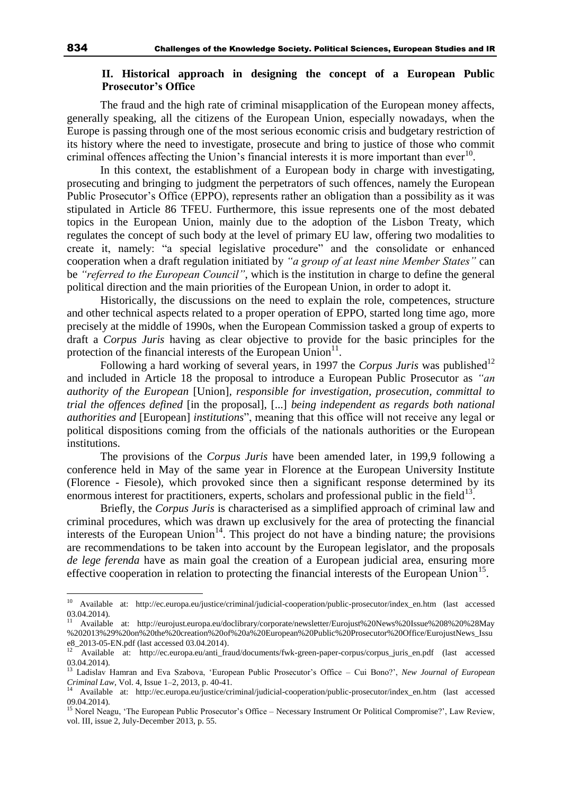# **II. Historical approach in designing the concept of a European Public Prosecutor's Office**

The fraud and the high rate of criminal misapplication of the European money affects, generally speaking, all the citizens of the European Union, especially nowadays, when the Europe is passing through one of the most serious economic crisis and budgetary restriction of its history where the need to investigate, prosecute and bring to justice of those who commit criminal offences affecting the Union's financial interests it is more important than  $ever<sup>10</sup>$ .

In this context, the establishment of a European body in charge with investigating, prosecuting and bringing to judgment the perpetrators of such offences, namely the European Public Prosecutor's Office (EPPO), represents rather an obligation than a possibility as it was stipulated in Article 86 TFEU. Furthermore, this issue represents one of the most debated topics in the European Union, mainly due to the adoption of the Lisbon Treaty, which regulates the concept of such body at the level of primary EU law, offering two modalities to create it, namely: "a special legislative procedure" and the consolidate or enhanced cooperation when a draft regulation initiated by *"a group of at least nine Member States"* can be *"referred to the European Council"*, which is the institution in charge to define the general political direction and the main priorities of the European Union, in order to adopt it.

Historically, the discussions on the need to explain the role, competences, structure and other technical aspects related to a proper operation of EPPO, started long time ago, more precisely at the middle of 1990s, when the European Commission tasked a group of experts to draft a *Corpus Juris* having as clear objective to provide for the basic principles for the protection of the financial interests of the European  $\text{Union}^{11}$ .

Following a hard working of several years, in 1997 the *Corpus Juris* was published<sup>12</sup> and included in Article 18 the proposal to introduce a European Public Prosecutor as *"an authority of the European* [Union]*, responsible for investigation, prosecution, committal to trial the offences defined* [in the proposal], [...] *being independent as regards both national authorities and* [European] *institutions*", meaning that this office will not receive any legal or political dispositions coming from the officials of the nationals authorities or the European institutions.

The provisions of the *Corpus Juris* have been amended later, in 199,9 following a conference held in May of the same year in Florence at the European University Institute (Florence - Fiesole), which provoked since then a significant response determined by its enormous interest for practitioners, experts, scholars and professional public in the field<sup>13</sup>.

Briefly, the *Corpus Juris* is characterised as a simplified approach of criminal law and criminal procedures, which was drawn up exclusively for the area of protecting the financial interests of the European Union<sup>14</sup>. This project do not have a binding nature; the provisions are recommendations to be taken into account by the European legislator, and the proposals *de lege ferenda* have as main goal the creation of a European judicial area, ensuring more effective cooperation in relation to protecting the financial interests of the European Union<sup>15</sup>.

<sup>10</sup> Available at: http://ec.europa.eu/justice/criminal/judicial-cooperation/public-prosecutor/index\_en.htm (last accessed 03.04.2014).

<sup>11</sup> Available at: http://eurojust.europa.eu/doclibrary/corporate/newsletter/Eurojust%20News%20Issue%208%20%28May %202013%29%20on%20the%20creation%20of%20a%20European%20Public%20Prosecutor%20Office/EurojustNews\_Issu  $e8\_2013-05$ -EN.pdf (last accessed 03.04.2014).

<sup>12</sup> Available at: http://ec.europa.eu/anti\_fraud/documents/fwk-green-paper-corpus/corpus\_juris\_en.pdf (last accessed 03.04.2014).

<sup>13</sup> Ladislav Hamran and Eva Szabova, 'European Public Prosecutor's Office – Cui Bono?', *New Journal of European Criminal Law*, Vol. 4, Issue 1–2, 2013, p. 40-41.

<sup>14</sup> Available at: http://ec.europa.eu/justice/criminal/judicial-cooperation/public-prosecutor/index\_en.htm (last accessed 09.04.2014).

<sup>&</sup>lt;sup>15</sup> Norel Neagu, 'The European Public Prosecutor's Office – Necessary Instrument Or Political Compromise?', Law Review, vol. III, issue 2, July-December 2013, p. 55.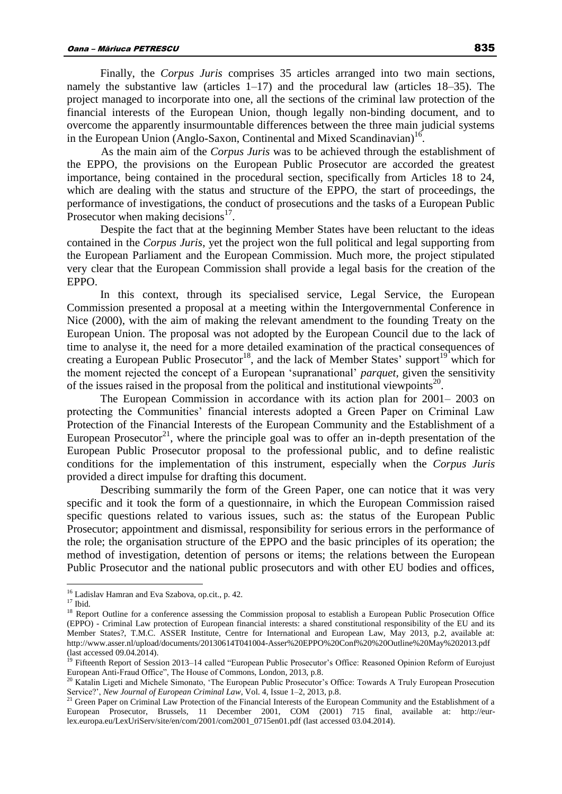Finally, the *Corpus Juris* comprises 35 articles arranged into two main sections, namely the substantive law (articles  $1-17$ ) and the procedural law (articles  $18-35$ ). The project managed to incorporate into one, all the sections of the criminal law protection of the financial interests of the European Union, though legally non-binding document, and to overcome the apparently insurmountable differences between the three main judicial systems in the European Union (Anglo-Saxon, Continental and Mixed Scandinavian)<sup>16</sup>.

As the main aim of the *Corpus Juris* was to be achieved through the establishment of the EPPO, the provisions on the European Public Prosecutor are accorded the greatest importance, being contained in the procedural section, specifically from Articles 18 to 24, which are dealing with the status and structure of the EPPO, the start of proceedings, the performance of investigations, the conduct of prosecutions and the tasks of a European Public Prosecutor when making decisions $17$ .

Despite the fact that at the beginning Member States have been reluctant to the ideas contained in the *Corpus Juris*, yet the project won the full political and legal supporting from the European Parliament and the European Commission. Much more, the project stipulated very clear that the European Commission shall provide a legal basis for the creation of the EPPO.

In this context, through its specialised service, Legal Service, the European Commission presented a proposal at a meeting within the Intergovernmental Conference in Nice (2000), with the aim of making the relevant amendment to the founding Treaty on the European Union. The proposal was not adopted by the European Council due to the lack of time to analyse it, the need for a more detailed examination of the practical consequences of creating a European Public Prosecutor<sup>18</sup>, and the lack of Member States' support<sup>19</sup> which for the moment rejected the concept of a European 'supranational' *parquet,* given the sensitivity of the issues raised in the proposal from the political and institutional viewpoints<sup>20</sup>.

The European Commission in accordance with its action plan for 2001– 2003 on protecting the Communities' financial interests adopted a Green Paper on Criminal Law Protection of the Financial Interests of the European Community and the Establishment of a European Prosecutor<sup>21</sup>, where the principle goal was to offer an in-depth presentation of the European Public Prosecutor proposal to the professional public, and to define realistic conditions for the implementation of this instrument, especially when the *Corpus Juris* provided a direct impulse for drafting this document.

Describing summarily the form of the Green Paper, one can notice that it was very specific and it took the form of a questionnaire, in which the European Commission raised specific questions related to various issues, such as: the status of the European Public Prosecutor; appointment and dismissal, responsibility for serious errors in the performance of the role; the organisation structure of the EPPO and the basic principles of its operation; the method of investigation, detention of persons or items; the relations between the European Public Prosecutor and the national public prosecutors and with other EU bodies and offices,

<sup>&</sup>lt;sup>16</sup> Ladislav Hamran and Eva Szabova, op.cit., p. 42.

 $17$  Ibid.

<sup>&</sup>lt;sup>18</sup> Report Outline for a conference assessing the Commission proposal to establish a European Public Prosecution Office (EPPO) - Criminal Law protection of European financial interests: a shared constitutional responsibility of the EU and its Member States?, T.M.C. ASSER Institute, Centre for International and European Law, May 2013, p.2, available at: http://www.asser.nl/upload/documents/20130614T041004-Asser%20EPPO%20Conf%20%20Outline%20May%202013.pdf (last accessed 09.04.2014).

<sup>&</sup>lt;sup>19</sup> Fifteenth Report of Session 2013–14 called "European Public Prosecutor's Office: Reasoned Opinion Reform of Eurojust European Anti-Fraud Office", The House of Commons, London, 2013, p.8.

<sup>&</sup>lt;sup>20</sup> Katalin Ligeti and Michele Simonato, 'The European Public Prosecutor's Office: Towards A Truly European Prosecution Service?', *New Journal of European Criminal Law*, Vol. 4, Issue 1–2, 2013, p.8.

<sup>&</sup>lt;sup>21</sup> Green Paper on Criminal Law Protection of the Financial Interests of the European Community and the Establishment of a European Prosecutor, Brussels, 11 December 2001, COM (2001) 715 final, available at: http://eurlex.europa.eu/LexUriServ/site/en/com/2001/com2001\_0715en01.pdf (last accessed 03.04.2014).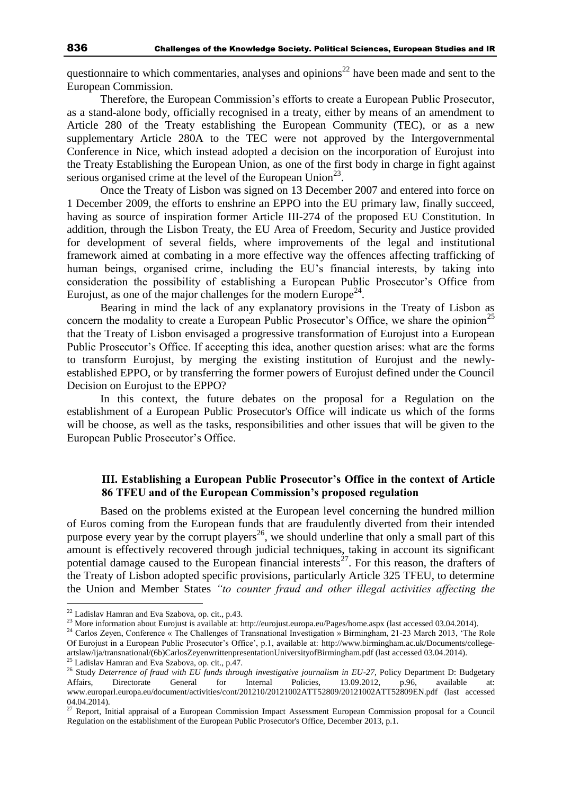questionnaire to which commentaries, analyses and opinions<sup>22</sup> have been made and sent to the European Commission.

Therefore, the European Commission's efforts to create a European Public Prosecutor, as a stand-alone body, officially recognised in a treaty, either by means of an amendment to Article 280 of the Treaty establishing the European Community (TEC), or as a new supplementary Article 280A to the TEC were not approved by the Intergovernmental Conference in Nice, which instead adopted a decision on the incorporation of Eurojust into the Treaty Establishing the European Union, as one of the first body in charge in fight against serious organised crime at the level of the European Union<sup>23</sup>.

Once the Treaty of Lisbon was signed on 13 December 2007 and entered into force on 1 December 2009, the efforts to enshrine an EPPO into the EU primary law, finally succeed, having as source of inspiration former Article III-274 of the proposed EU Constitution. In addition, through the Lisbon Treaty, the EU Area of Freedom, Security and Justice provided for development of several fields, where improvements of the legal and institutional framework aimed at combating in a more effective way the offences affecting trafficking of human beings, organised crime, including the EU's financial interests, by taking into consideration the possibility of establishing a European Public Prosecutor's Office from Eurojust, as one of the major challenges for the modern Europe<sup>24</sup>.

Bearing in mind the lack of any explanatory provisions in the Treaty of Lisbon as concern the modality to create a European Public Prosecutor's Office, we share the opinion<sup>25</sup> that the Treaty of Lisbon envisaged a progressive transformation of Eurojust into a European Public Prosecutor's Office. If accepting this idea, another question arises: what are the forms to transform Eurojust, by merging the existing institution of Eurojust and the newlyestablished EPPO, or by transferring the former powers of Eurojust defined under the Council Decision on Eurojust to the EPPO?

In this context, the future debates on the proposal for a Regulation on the establishment of a European Public Prosecutor's Office will indicate us which of the forms will be choose, as well as the tasks, responsibilities and other issues that will be given to the European Public Prosecutor's Office.

## **III. Establishing a European Public Prosecutor's Office in the context of Article 86 TFEU and of the European Commission's proposed regulation**

Based on the problems existed at the European level concerning the hundred million of Euros coming from the European funds that are fraudulently diverted from their intended purpose every year by the corrupt players<sup>26</sup>, we should underline that only a small part of this amount is effectively recovered through judicial techniques, taking in account its significant potential damage caused to the European financial interests<sup>27</sup>. For this reason, the drafters of the Treaty of Lisbon adopted specific provisions, particularly Article 325 TFEU, to determine the Union and Member States *"to counter fraud and other illegal activities affecting the* 

 $22$  Ladislav Hamran and Eva Szabova, op. cit., p.43.

<sup>&</sup>lt;sup>23</sup> More information about Eurojust is available at: http://eurojust.europa.eu/Pages/home.aspx (last accessed 03.04.2014).

<sup>&</sup>lt;sup>24</sup> Carlos Zeyen, Conference « The Challenges of Transnational Investigation » Birmingham, 21-23 March 2013, 'The Role Of Eurojust in a European Public Prosecutor's Office', p.1, available at: http://www.birmingham.ac.uk/Documents/collegeartslaw/ija/transnational/(6b)CarlosZeyenwrittenpresentationUniversityofBirmingham.pdf (last accessed 03.04.2014).

 $^{25}$  Ladislav Hamran and Eva Szabova, op. cit., p.47.

<sup>&</sup>lt;sup>26</sup> Study *Deterrence of fraud with EU funds through investigative journalism in EU-27*, Policy Department D: Budgetary Affairs, Directorate General for Internal Policies, 13.09.2012, p.96, available at: www.europarl.europa.eu/document/activities/cont/201210/20121002ATT52809/20121002ATT52809EN.pdf (last accessed 04.04.2014).

 $27$  Report, Initial appraisal of a European Commission Impact Assessment European Commission proposal for a Council Regulation on the establishment of the European Public Prosecutor's Office, December 2013, p.1.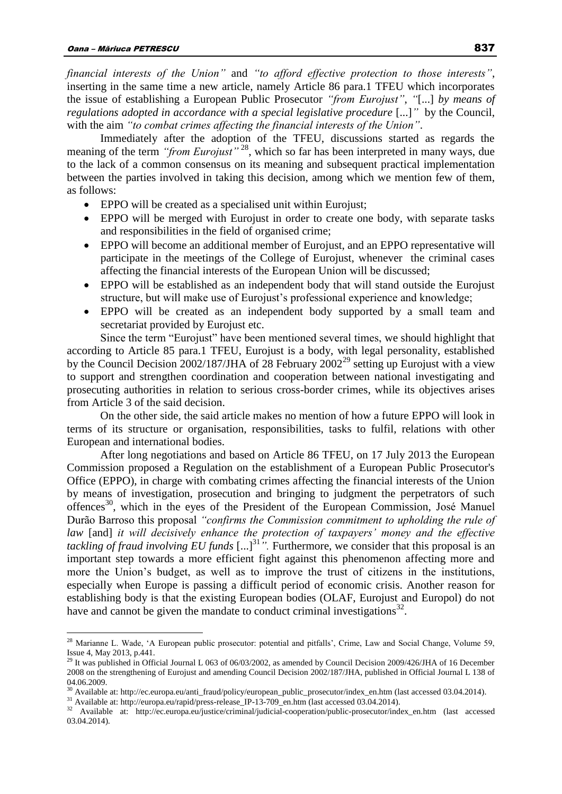$\overline{a}$ 

*financial interests of the Union"* and *"to afford effective protection to those interests"*, inserting in the same time a new article, namely Article 86 para.1 TFEU which incorporates the issue of establishing a European Public Prosecutor *"from Eurojust"*, *"*[...] *by means of regulations adopted in accordance with a special legislative procedure* [...]" by the Council, with the aim *"to combat crimes affecting the financial interests of the Union"*.

Immediately after the adoption of the TFEU, discussions started as regards the meaning of the term *"from Eurojust*"<sup>28</sup>, which so far has been interpreted in many ways, due to the lack of a common consensus on its meaning and subsequent practical implementation between the parties involved in taking this decision, among which we mention few of them, as follows:

- EPPO will be created as a specialised unit within Eurojust;
- EPPO will be merged with Eurojust in order to create one body, with separate tasks and responsibilities in the field of organised crime;
- EPPO will become an additional member of Eurojust, and an EPPO representative will participate in the meetings of the College of Eurojust, whenever the criminal cases affecting the financial interests of the European Union will be discussed;
- EPPO will be established as an independent body that will stand outside the Eurojust structure, but will make use of Eurojust's professional experience and knowledge;
- EPPO will be created as an independent body supported by a small team and secretariat provided by Eurojust etc.

Since the term "Eurojust" have been mentioned several times, we should highlight that according to Article 85 para.1 TFEU, Eurojust is a body, with legal personality, established by the [Council Decision 2002/187/JHA of 28 February 2002](http://eurojust.europa.eu/doclibrary/Eurojust-framework/ejdecision/Eurojust%20Decision%20%28Council%20Decision%202002-187-JHA%29/Eurojust-Council-Decision-2002-187-JHA-EN.pdf)<sup>29</sup> setting up Eurojust with a view to support and strengthen coordination and cooperation between national investigating and prosecuting authorities in relation to serious cross-border crimes, while its objectives arises from Article 3 of the said decision.

On the other side, the said article makes no mention of how a future EPPO will look in terms of its structure or organisation, responsibilities, tasks to fulfil, relations with other European and international bodies.

After long negotiations and based on Article 86 TFEU, on 17 July 2013 the European Commission proposed a Regulation on the establishment of a European Public Prosecutor's Office (EPPO), in charge with combating crimes affecting the financial interests of the Union by means of investigation, prosecution and bringing to judgment the perpetrators of such offences<sup>30</sup>, which in the eyes of the President of the European Commission, José Manuel Durão Barroso this proposal *"confirms the Commission commitment to upholding the rule of law* [and] *it will decisively enhance the protection of taxpayers' money and the effective tackling of fraud involving EU funds* [...]<sup>31</sup>". Furthermore, we consider that this proposal is an important step towards a more efficient fight against this phenomenon affecting more and more the Union's budget, as well as to improve the trust of citizens in the institutions, especially when Europe is passing a difficult period of economic crisis. Another reason for establishing body is that the existing European bodies (OLAF, Eurojust and Europol) do not have and cannot be given the mandate to conduct criminal investigations $32$ .

 $^{28}$  Marianne L. Wade, 'A European public prosecutor: potential and pitfalls', Crime, Law and Social Change, Volume 59, Issue 4, May 2013, p.441.

<sup>&</sup>lt;sup>29</sup> It was published in Official Journal L 063 of 06/03/2002, as amended by Council Decision 2009/426/JHA of 16 December 2008 on the strengthening of Eurojust and amending Council Decision 2002/187/JHA, published in Official Journal L 138 of 04.06.2009.

<sup>&</sup>lt;sup>30</sup> Available at: http://ec.europa.eu/anti\_fraud/policy/european\_public\_prosecutor/index\_en.htm (last accessed 03.04.2014).

<sup>&</sup>lt;sup>31</sup> Available at: http://europa.eu/rapid/press-release\_IP-13-709\_en.htm (last accessed 03.04.2014).

<sup>32</sup> Available at: http://ec.europa.eu/justice/criminal/judicial-cooperation/public-prosecutor/index\_en.htm (last accessed 03.04.2014).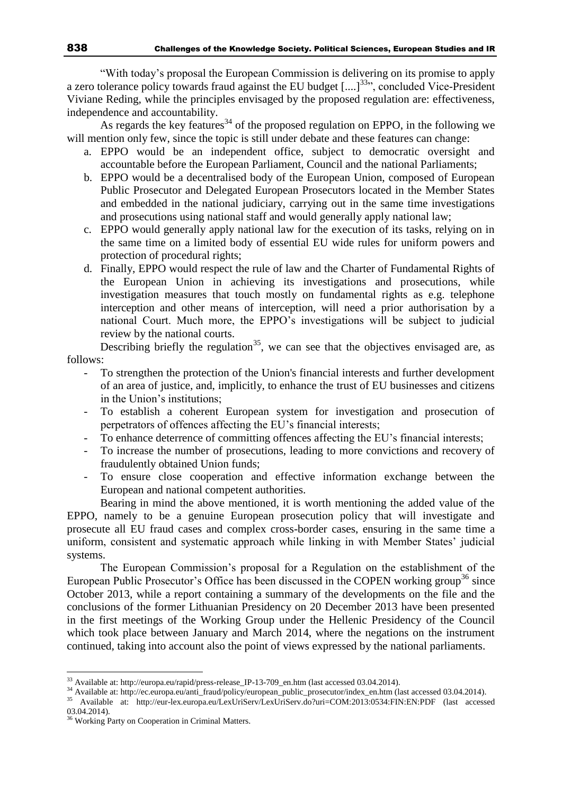"With today's proposal the European Commission is delivering on its promise to apply a zero tolerance policy towards fraud against the EU budget  $\left[$ ....]<sup>33</sup>", concluded Vice-President Viviane Reding, while the principles envisaged by the proposed regulation are: effectiveness, independence and accountability.

As regards the key features<sup>34</sup> of the proposed regulation on EPPO, in the following we will mention only few, since the topic is still under debate and these features can change:

- a. EPPO would be an independent office, subject to democratic oversight and accountable before the European Parliament, Council and the national Parliaments;
- b. EPPO would be a decentralised body of the European Union, composed of European Public Prosecutor and Delegated European Prosecutors located in the Member States and embedded in the national judiciary, carrying out in the same time investigations and prosecutions using national staff and would generally apply national law;
- c. EPPO would generally apply national law for the execution of its tasks, relying on in the same time on a limited body of essential EU wide rules for uniform powers and protection of procedural rights;
- d. Finally, EPPO would respect the rule of law and the Charter of Fundamental Rights of the European Union in achieving its investigations and prosecutions, while investigation measures that touch mostly on fundamental rights as e.g. telephone interception and other means of interception, will need a prior authorisation by a national Court. Much more, the EPPO's investigations will be subject to judicial review by the national courts.

Describing briefly the regulation<sup>35</sup>, we can see that the objectives envisaged are, as follows:

- To strengthen the protection of the Union's financial interests and further development of an area of justice, and, implicitly, to enhance the trust of EU businesses and citizens in the Union's institutions;
- To establish a coherent European system for investigation and prosecution of perpetrators of offences affecting the EU's financial interests;
- To enhance deterrence of committing offences affecting the EU's financial interests;
- To increase the number of prosecutions, leading to more convictions and recovery of fraudulently obtained Union funds;
- To ensure close cooperation and effective information exchange between the European and national competent authorities.

Bearing in mind the above mentioned, it is worth mentioning the added value of the EPPO, namely to be a genuine European prosecution policy that will investigate and prosecute all EU fraud cases and complex cross-border cases, ensuring in the same time a uniform, consistent and systematic approach while linking in with Member States' judicial systems.

The European Commission's proposal for a Regulation on the establishment of the European Public Prosecutor's Office has been discussed in the COPEN working group<sup>36</sup> since October 2013, while a report containing a summary of the developments on the file and the conclusions of the former Lithuanian Presidency on 20 December 2013 have been presented in the first meetings of the Working Group under the Hellenic Presidency of the Council which took place between January and March 2014, where the negations on the instrument continued, taking into account also the point of views expressed by the national parliaments.

<sup>&</sup>lt;sup>33</sup> Available at: http://europa.eu/rapid/press-release\_IP-13-709\_en.htm (last accessed 03.04.2014).

<sup>34</sup> Available at: http://ec.europa.eu/anti\_fraud/policy/european\_public\_prosecutor/index\_en.htm (last accessed 03.04.2014).

<sup>35</sup> Available at: http://eur-lex.europa.eu/LexUriServ/LexUriServ.do?uri=COM:2013:0534:FIN:EN:PDF (last accessed 03.04.2014).

<sup>&</sup>lt;sup>36</sup> Working Party on Cooperation in Criminal Matters.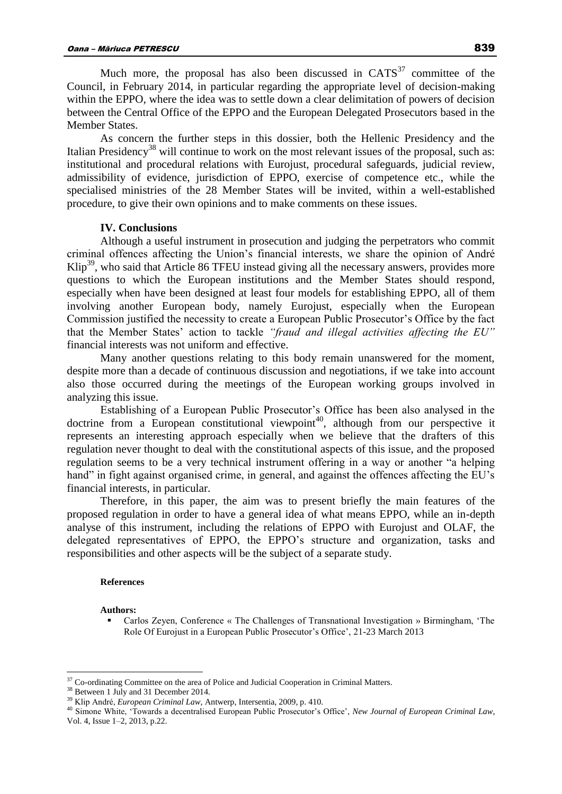Much more, the proposal has also been discussed in  $CATS<sup>37</sup>$  committee of the

Council, in February 2014, in particular regarding the appropriate level of decision-making within the EPPO, where the idea was to settle down a clear delimitation of powers of decision between the Central Office of the EPPO and the European Delegated Prosecutors based in the Member States.

As concern the further steps in this dossier, both the Hellenic Presidency and the Italian Presidency<sup>38</sup> will continue to work on the most relevant issues of the proposal, such as: institutional and procedural relations with Eurojust, procedural safeguards, judicial review, admissibility of evidence, jurisdiction of EPPO, exercise of competence etc., while the specialised ministries of the 28 Member States will be invited, within a well-established procedure, to give their own opinions and to make comments on these issues.

## **IV. Conclusions**

Although a useful instrument in prosecution and judging the perpetrators who commit criminal offences affecting the Union's financial interests, we share the opinion of André  $\text{Klip}^{39}$ , who said that Article 86 TFEU instead giving all the necessary answers, provides more questions to which the European institutions and the Member States should respond, especially when have been designed at least four models for establishing EPPO, all of them involving another European body, namely Eurojust, especially when the European Commission justified the necessity to create a European Public Prosecutor's Office by the fact that the Member States' action to tackle *"fraud and illegal activities affecting the EU"* financial interests was not uniform and effective.

Many another questions relating to this body remain unanswered for the moment, despite more than a decade of continuous discussion and negotiations, if we take into account also those occurred during the meetings of the European working groups involved in analyzing this issue.

Establishing of a European Public Prosecutor's Office has been also analysed in the doctrine from a European constitutional viewpoint<sup>40</sup>, although from our perspective it represents an interesting approach especially when we believe that the drafters of this regulation never thought to deal with the constitutional aspects of this issue, and the proposed regulation seems to be a very technical instrument offering in a way or another "a helping hand" in fight against organised crime, in general, and against the offences affecting the EU's financial interests, in particular.

Therefore, in this paper, the aim was to present briefly the main features of the proposed regulation in order to have a general idea of what means EPPO, while an in-depth analyse of this instrument, including the relations of EPPO with Eurojust and OLAF, the delegated representatives of EPPO, the EPPO's structure and organization, tasks and responsibilities and other aspects will be the subject of a separate study.

#### **References**

**Authors:**

 $\overline{a}$ 

 Carlos Zeyen, Conference « The Challenges of Transnational Investigation » Birmingham, 'The Role Of Eurojust in a European Public Prosecutor's Office', 21-23 March 2013

 $37$  Co-ordinating Committee on the area of Police and Judicial Cooperation in Criminal Matters.

<sup>&</sup>lt;sup>38</sup> Between 1 July and 31 December 2014.

<sup>39</sup> Klip André, *European Criminal Law*, Antwerp, Intersentia, 2009, p. 410.

<sup>40</sup> Simone White, 'Towards a decentralised European Public Prosecutor's Office', *New Journal of European Criminal Law*, Vol. 4, Issue 1–2, 2013, p.22.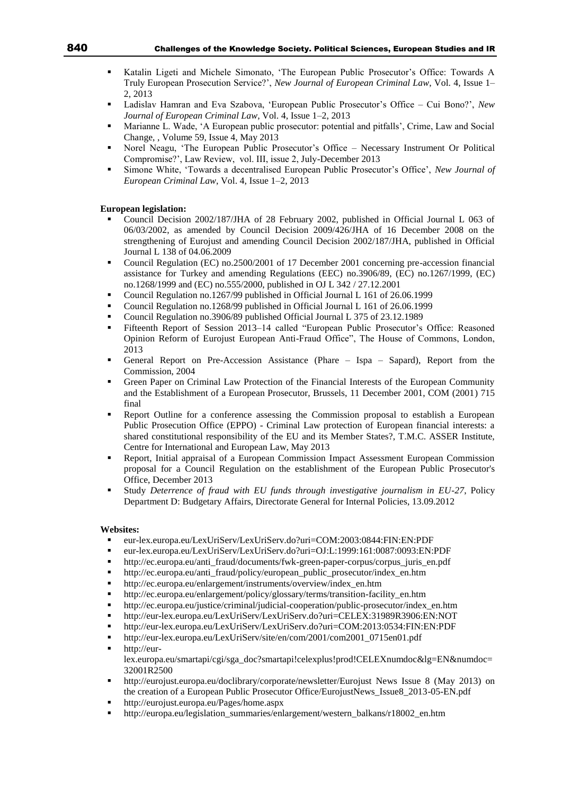- Katalin Ligeti and Michele Simonato, 'The European Public Prosecutor's Office: Towards A Truly European Prosecution Service?', *New Journal of European Criminal Law*, Vol. 4, Issue 1– 2, 2013
- Ladislav Hamran and Eva Szabova, 'European Public Prosecutor's Office Cui Bono?', *New Journal of European Criminal Law*, Vol. 4, Issue 1–2, 2013
- Marianne L. Wade, 'A European public prosecutor: potential and pitfalls', Crime, Law and Social Change, , Volume 59, Issue 4, May 2013
- Norel Neagu, 'The European Public Prosecutor's Office Necessary Instrument Or Political Compromise?', Law Review, vol. III, issue 2, July-December 2013
- Simone White, 'Towards a decentralised European Public Prosecutor's Office', *New Journal of European Criminal Law*, Vol. 4, Issue 1–2, 2013

#### **European legislation:**

- Council Decision 2002/187/JHA of 28 February 2002, published in Official Journal L 063 of 06/03/2002, as amended by Council Decision 2009/426/JHA of 16 December 2008 on the strengthening of Eurojust and amending Council Decision 2002/187/JHA, published in Official Journal L 138 of 04.06.2009
- Council Regulation (EC) no.2500/2001 of 17 December 2001 concerning pre-accession financial assistance for Turkey and amending Regulations (EEC) no.3906/89, (EC) no.1267/1999, (EC) no.1268/1999 and (EC) no.555/2000, published in OJ L 342 / 27.12.2001
- Council Regulation no.1267/99 published in Official Journal L 161 of 26.06.1999
- Council Regulation no.1268/99 published in Official Journal L 161 of 26.06.1999
- Council Regulation no.3906/89 published Official Journal L 375 of 23.12.1989
- Fifteenth Report of Session 2013–14 called "European Public Prosecutor's Office: Reasoned Opinion Reform of Eurojust European Anti-Fraud Office", The House of Commons, London, 2013
- General Report on Pre-Accession Assistance (Phare Ispa Sapard), Report from the Commission, 2004
- Green Paper on Criminal Law Protection of the Financial Interests of the European Community and the Establishment of a European Prosecutor, Brussels, 11 December 2001, COM (2001) 715 final
- Report Outline for a conference assessing the Commission proposal to establish a European Public Prosecution Office (EPPO) - Criminal Law protection of European financial interests: a shared constitutional responsibility of the EU and its Member States?, T.M.C. ASSER Institute, Centre for International and European Law, May 2013
- Report, Initial appraisal of a European Commission Impact Assessment European Commission proposal for a Council Regulation on the establishment of the European Public Prosecutor's Office, December 2013
- Study *Deterrence of fraud with EU funds through investigative journalism in EU-27*, Policy Department D: Budgetary Affairs, Directorate General for Internal Policies, 13.09.2012

#### **Websites:**

- eur-lex.europa.eu/LexUriServ/LexUriServ.do?uri=COM:2003:0844:FIN:EN:PDF
- eur-lex.europa.eu/LexUriServ/LexUriServ.do?uri=OJ:L:1999:161:0087:0093:EN:PDF
- http://ec.europa.eu/anti\_fraud/documents/fwk-green-paper-corpus/corpus\_juris\_en.pdf
- http://ec.europa.eu/anti\_fraud/policy/european\_public\_prosecutor/index\_en.htm
- http://ec.europa.eu/enlargement/instruments/overview/index\_en.htm
- http://ec.europa.eu/enlargement/policy/glossary/terms/transition-facility\_en.htm
- http://ec.europa.eu/justice/criminal/judicial-cooperation/public-prosecutor/index\_en.htm
- <http://eur-lex.europa.eu/LexUriServ/LexUriServ.do?uri=CELEX:31989R3906:EN:NOT>
- http://eur-lex.europa.eu/LexUriServ/LexUriServ.do?uri=COM:2013:0534:FIN:EN:PDF
- http://eur-lex.europa.eu/LexUriServ/site/en/com/2001/com2001\_0715en01.pdf
- http://eurlex.europa.eu/smartapi/cgi/sga\_doc?smartapi!celexplus!prod!CELEXnumdoc&lg=EN&numdoc= 32001R2500
- http://eurojust.europa.eu/doclibrary/corporate/newsletter/Eurojust News Issue 8 (May 2013) on the creation of a European Public Prosecutor Office/EurojustNews\_Issue8\_2013-05-EN.pdf
- http://eurojust.europa.eu/Pages/home.aspx
- http://europa.eu/legislation\_summaries/enlargement/western\_balkans/r18002\_en.htm